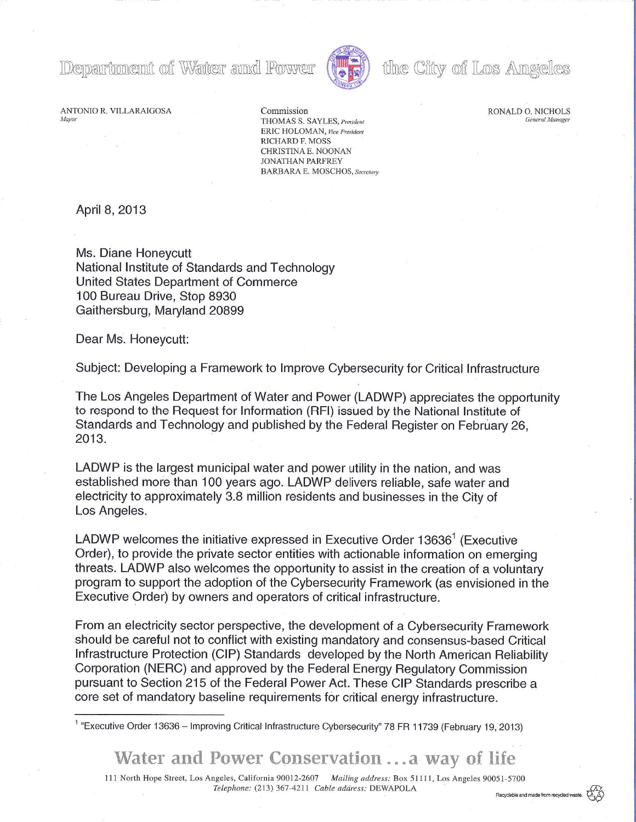Department of Water and Power



# the City of Los Angeles

RONALD O. NICHOLS

ANTONIO R. VILLARAIGOSA Commission

*Mayor* General Manager **THOMAS S. SAYLES**, *President* Contract Manager General Manager ERIC HOLOMAN, *Vice President* RICHARD F. MOSS CHRISTINA E. NOONAN JONATHAN PARFREY BARBARA E. MOSCHOS, *Secretary* 

April 8, 2013

Ms. Diane Honeycutt National Institute of Standards and Technology United States Department of Commerce 100 Bureau Drive, Stop 8930 Gaithersburg, Maryland 20899

Dear Ms. Honeycutt:

Subject: Developing a Framework to Improve Cybersecurity for Critical Infrastructure

The Los Angeles Department of Water and Power (LADWP) appreciates the opportunity to respond to the Request for Information (RFI) issued by the National Institute of Standards and Technology and published by the Federal Register on February 26, 2013.

LADWP is the largest municipal water and power utility in the nation, and was established more than 100 years ago. LADWP delivers reliable, safe water and electricity to approximately 3.8 million residents and businesses in the City of Los Angeles.

LADWP welcomes the initiative expressed in Executive Order 13636<sup>1</sup> (Executive Order), to provide the private sector entities with actionable information on emerging threats. LADWP also welcomes the opportunity to assist in the creation of a voluntary program to support the adoption of the Cybersecurity Framework (as envisioned in the Executive Order) by owners and operators of critical infrastructure.

From an electricity sector perspective, the development of a Cybersecurity Framework should be careful not to conflict with existing mandatory and consensus-based Critical Infrastructure Protection (CIP) Standards developed by the North American Reliability Corporation (NERC) and approved by the Federal Energy Regulatory Commission pursuant to Section 215 of the Federal Power Act. These CIP Standards prescribe a core set of mandatory baseline requirements for critical energy infrastructure.

Water and Power Conservation .. a way of life

111 North Hope Street, Los Angeles, California 900 12-2607 *Mailing address:* Box Sill 1, Los Angeles 90051 -5700 *Telephone:* (213) 367-4211 *Cable address:* DEWAPOLA Requisible and made from requisible

<sup>&</sup>quot;Executive Order 13636 – Improving Critical Infrastructure Cybersecurity" 78 FR 11739 (February 19, 2013)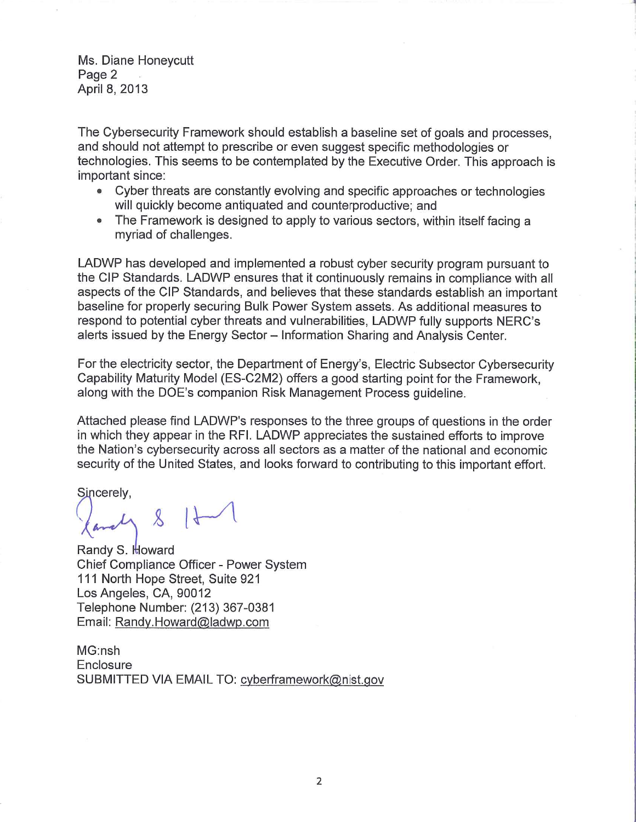Ms. Diane Honeycutt Page 2 April 8, 2013

The Cybersecurity Framework should establish a baseline set of goals and processes, and should not attempt to prescribe or even suggest specific methodologies or technologies. This seems to be contemplated by the Executive Order. This approach is important since:

- Cyber threats are constantly evolving and specific approaches or technologies will quickly become antiquated and counterproductive; and
- The Framework is designed to apply to various sectors, within itself facing a myriad of challenges.

LADWP has developed and implemented a robust cyber security program pursuant to the CIP Standards. LADWP ensures that it continuously remains in compliance with all aspects of the CIP Standards, and believes that these standards establish an important baseline for properly securing Bulk Power System assets. As additional measures to respond to potential cyber threats and vulnerabilities, LADWP fully supports NERC's alerts issued by the Energy Sector - Information Sharing and Analysis Center.

For the electricity sector, the Department of Energy's, Electric Subsector Cybersecurity Capability Maturity Model (ES-C2M2) offers a good starting point for the Framework, along with the DOE's companion Risk Management Process guideline.

Attached please find LADWP's responses to the three groups of questions in the order in which they appear in the RFI. LADWP appreciates the sustained efforts to improve the Nation's cybersecurity across all sectors as a matter of the national and economic security of the United States, and looks forward to contributing to this important effort.

Sincerely,

 $8$   $1$ 

Randy S. Howard Chief Compliance Officer - Power System 111 North Hope Street, Suite 921 Los Angeles, CA, 90012 Telephone Number: (213) 367-0381 Email: Randy.Howard@ladwp.com

MG:nsh **Enclosure** SUBMITTED VIA EMAIL TO: cyberframework@nisl.gov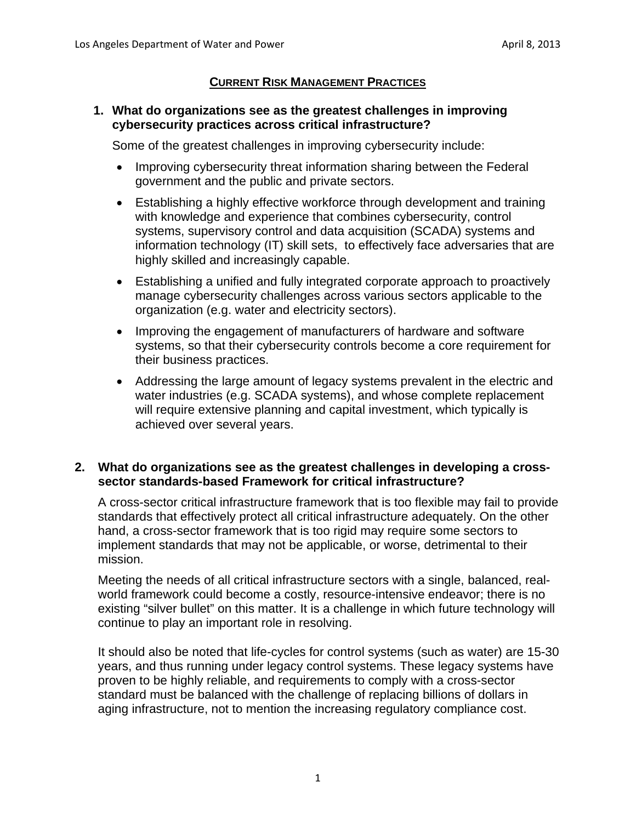# **CURRENT RISK MANAGEMENT PRACTICES**

## **1. What do organizations see as the greatest challenges in improving cybersecurity practices across critical infrastructure?**

Some of the greatest challenges in improving cybersecurity include:

- Improving cybersecurity threat information sharing between the Federal government and the public and private sectors.
- Establishing a highly effective workforce through development and training with knowledge and experience that combines cybersecurity, control systems, supervisory control and data acquisition (SCADA) systems and information technology (IT) skill sets, to effectively face adversaries that are highly skilled and increasingly capable.
- Establishing a unified and fully integrated corporate approach to proactively manage cybersecurity challenges across various sectors applicable to the organization (e.g. water and electricity sectors).
- Improving the engagement of manufacturers of hardware and software systems, so that their cybersecurity controls become a core requirement for their business practices.
- Addressing the large amount of legacy systems prevalent in the electric and water industries (e.g. SCADA systems), and whose complete replacement will require extensive planning and capital investment, which typically is achieved over several years.

## **2. What do organizations see as the greatest challenges in developing a crosssector standards-based Framework for critical infrastructure?**

A cross-sector critical infrastructure framework that is too flexible may fail to provide standards that effectively protect all critical infrastructure adequately. On the other hand, a cross-sector framework that is too rigid may require some sectors to implement standards that may not be applicable, or worse, detrimental to their mission.

Meeting the needs of all critical infrastructure sectors with a single, balanced, realworld framework could become a costly, resource-intensive endeavor; there is no existing "silver bullet" on this matter. It is a challenge in which future technology will continue to play an important role in resolving.

It should also be noted that life-cycles for control systems (such as water) are 15-30 years, and thus running under legacy control systems. These legacy systems have proven to be highly reliable, and requirements to comply with a cross-sector standard must be balanced with the challenge of replacing billions of dollars in aging infrastructure, not to mention the increasing regulatory compliance cost.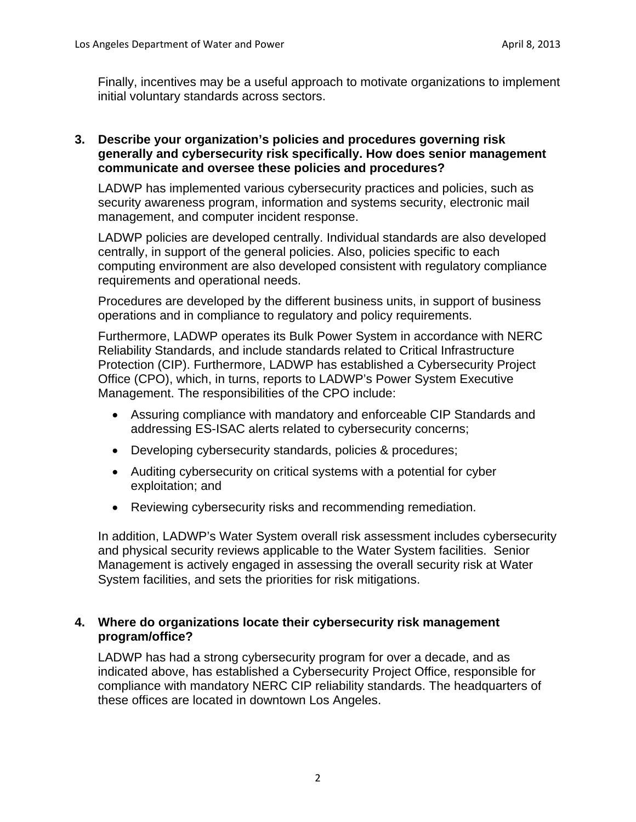Finally, incentives may be a useful approach to motivate organizations to implement initial voluntary standards across sectors.

#### **3. Describe your organization's policies and procedures governing risk generally and cybersecurity risk specifically. How does senior management communicate and oversee these policies and procedures?**

LADWP has implemented various cybersecurity practices and policies, such as security awareness program, information and systems security, electronic mail management, and computer incident response.

LADWP policies are developed centrally. Individual standards are also developed centrally, in support of the general policies. Also, policies specific to each computing environment are also developed consistent with regulatory compliance requirements and operational needs.

Procedures are developed by the different business units, in support of business operations and in compliance to regulatory and policy requirements.

Furthermore, LADWP operates its Bulk Power System in accordance with NERC Reliability Standards, and include standards related to Critical Infrastructure Protection (CIP). Furthermore, LADWP has established a Cybersecurity Project Office (CPO), which, in turns, reports to LADWP's Power System Executive Management. The responsibilities of the CPO include:

- Assuring compliance with mandatory and enforceable CIP Standards and addressing ES-ISAC alerts related to cybersecurity concerns;
- Developing cybersecurity standards, policies & procedures;
- Auditing cybersecurity on critical systems with a potential for cyber exploitation; and
- Reviewing cybersecurity risks and recommending remediation.

In addition, LADWP's Water System overall risk assessment includes cybersecurity and physical security reviews applicable to the Water System facilities. Senior Management is actively engaged in assessing the overall security risk at Water System facilities, and sets the priorities for risk mitigations.

## **4. Where do organizations locate their cybersecurity risk management program/office?**

LADWP has had a strong cybersecurity program for over a decade, and as indicated above, has established a Cybersecurity Project Office, responsible for compliance with mandatory NERC CIP reliability standards. The headquarters of these offices are located in downtown Los Angeles.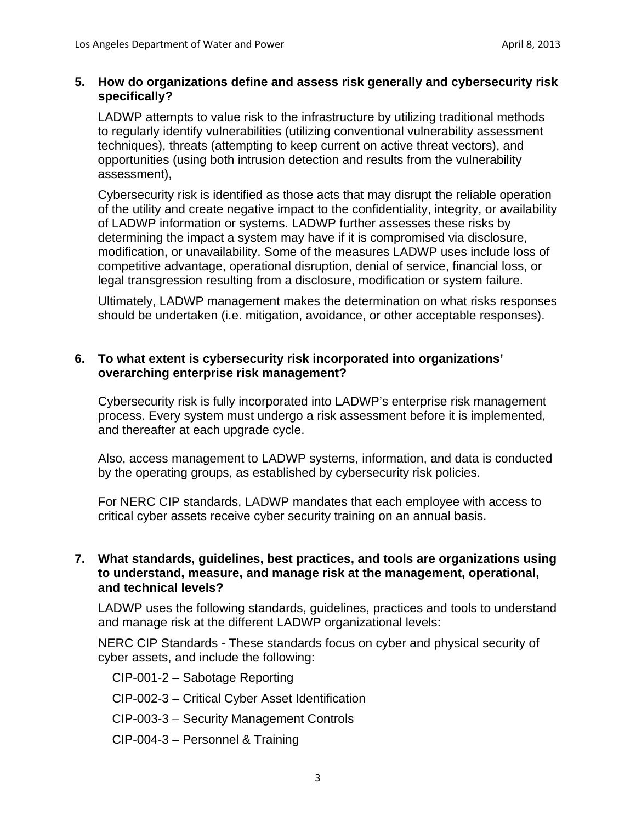#### **5. How do organizations define and assess risk generally and cybersecurity risk specifically?**

LADWP attempts to value risk to the infrastructure by utilizing traditional methods to regularly identify vulnerabilities (utilizing conventional vulnerability assessment techniques), threats (attempting to keep current on active threat vectors), and opportunities (using both intrusion detection and results from the vulnerability assessment),

Cybersecurity risk is identified as those acts that may disrupt the reliable operation of the utility and create negative impact to the confidentiality, integrity, or availability of LADWP information or systems. LADWP further assesses these risks by determining the impact a system may have if it is compromised via disclosure, modification, or unavailability. Some of the measures LADWP uses include loss of competitive advantage, operational disruption, denial of service, financial loss, or legal transgression resulting from a disclosure, modification or system failure.

Ultimately, LADWP management makes the determination on what risks responses should be undertaken (i.e. mitigation, avoidance, or other acceptable responses).

#### **6. To what extent is cybersecurity risk incorporated into organizations' overarching enterprise risk management?**

Cybersecurity risk is fully incorporated into LADWP's enterprise risk management process. Every system must undergo a risk assessment before it is implemented, and thereafter at each upgrade cycle.

Also, access management to LADWP systems, information, and data is conducted by the operating groups, as established by cybersecurity risk policies.

For NERC CIP standards, LADWP mandates that each employee with access to critical cyber assets receive cyber security training on an annual basis.

#### **7. What standards, guidelines, best practices, and tools are organizations using to understand, measure, and manage risk at the management, operational, and technical levels?**

LADWP uses the following standards, guidelines, practices and tools to understand and manage risk at the different LADWP organizational levels:

NERC CIP Standards - These standards focus on cyber and physical security of cyber assets, and include the following:

CIP-001-2 – Sabotage Reporting

CIP-002-3 – Critical Cyber Asset Identification

- CIP-003-3 Security Management Controls
- CIP-004-3 Personnel & Training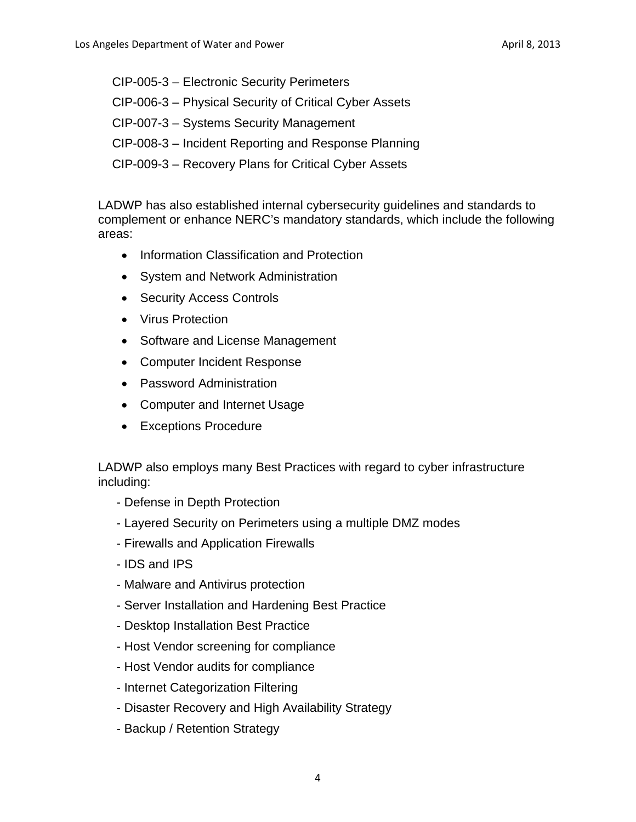CIP-005-3 – Electronic Security Perimeters CIP-006-3 – Physical Security of Critical Cyber Assets CIP-007-3 – Systems Security Management CIP-008-3 – Incident Reporting and Response Planning CIP-009-3 – Recovery Plans for Critical Cyber Assets

LADWP has also established internal cybersecurity guidelines and standards to complement or enhance NERC's mandatory standards, which include the following areas:

- Information Classification and Protection
- System and Network Administration
- Security Access Controls
- Virus Protection
- Software and License Management
- Computer Incident Response
- Password Administration
- Computer and Internet Usage
- Exceptions Procedure

LADWP also employs many Best Practices with regard to cyber infrastructure including:

- Defense in Depth Protection
- Layered Security on Perimeters using a multiple DMZ modes
- Firewalls and Application Firewalls
- IDS and IPS
- Malware and Antivirus protection
- Server Installation and Hardening Best Practice
- Desktop Installation Best Practice
- Host Vendor screening for compliance
- Host Vendor audits for compliance
- Internet Categorization Filtering
- Disaster Recovery and High Availability Strategy
- Backup / Retention Strategy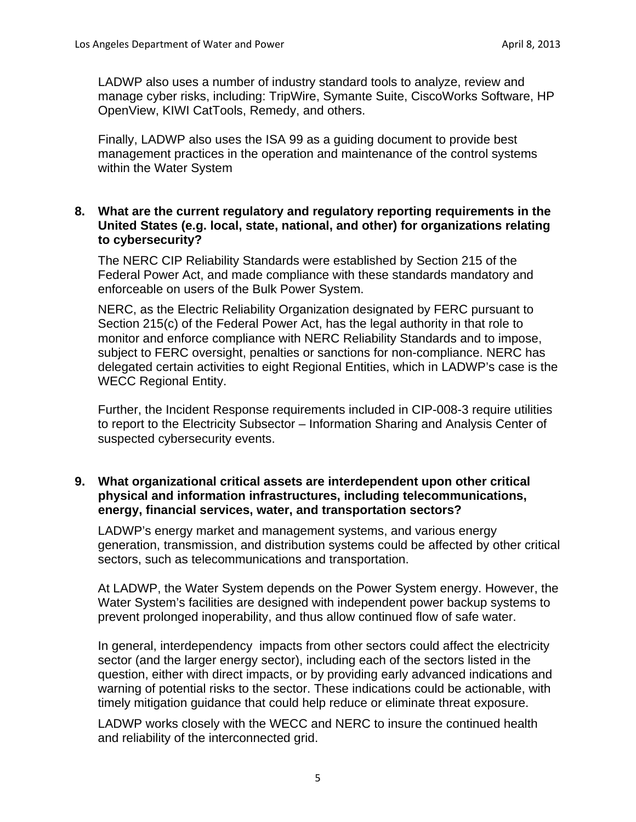LADWP also uses a number of industry standard tools to analyze, review and manage cyber risks, including: TripWire, Symante Suite, CiscoWorks Software, HP OpenView, KIWI CatTools, Remedy, and others.

Finally, LADWP also uses the ISA 99 as a guiding document to provide best management practices in the operation and maintenance of the control systems within the Water System

#### **to cybersecurity? 8. What are the current regulatory and regulatory reporting requirements in the United States (e.g. local, state, national, and other) for organizations relating**

The NERC CIP Reliability Standards were established by Section 215 of the Federal Power Act, and made compliance with these standards mandatory and enforceable on users of the Bulk Power System.

NERC, as the Electric Reliability Organization designated by FERC pursuant to Section 215(c) of the Federal Power Act, has the legal authority in that role to monitor and enforce compliance with NERC Reliability Standards and to impose, subject to FERC oversight, penalties or sanctions for non-compliance. NERC has delegated certain activities to eight Regional Entities, which in LADWP's case is the WECC Regional Entity.

Further, the Incident Response requirements included in CIP-008-3 require utilities to report to the Electricity Subsector – Information Sharing and Analysis Center of suspected cybersecurity events.

#### **9. What organizational critical assets are interdependent upon other critical physical and information infrastructures, including telecommunications, energy, financial services, water, and transportation sectors?**

LADWP's energy market and management systems, and various energy generation, transmission, and distribution systems could be affected by other critical sectors, such as telecommunications and transportation.

At LADWP, the Water System depends on the Power System energy. However, the Water System's facilities are designed with independent power backup systems to prevent prolonged inoperability, and thus allow continued flow of safe water.

In general, interdependency impacts from other sectors could affect the electricity sector (and the larger energy sector), including each of the sectors listed in the question, either with direct impacts, or by providing early advanced indications and warning of potential risks to the sector. These indications could be actionable, with timely mitigation guidance that could help reduce or eliminate threat exposure.

LADWP works closely with the WECC and NERC to insure the continued health and reliability of the interconnected grid.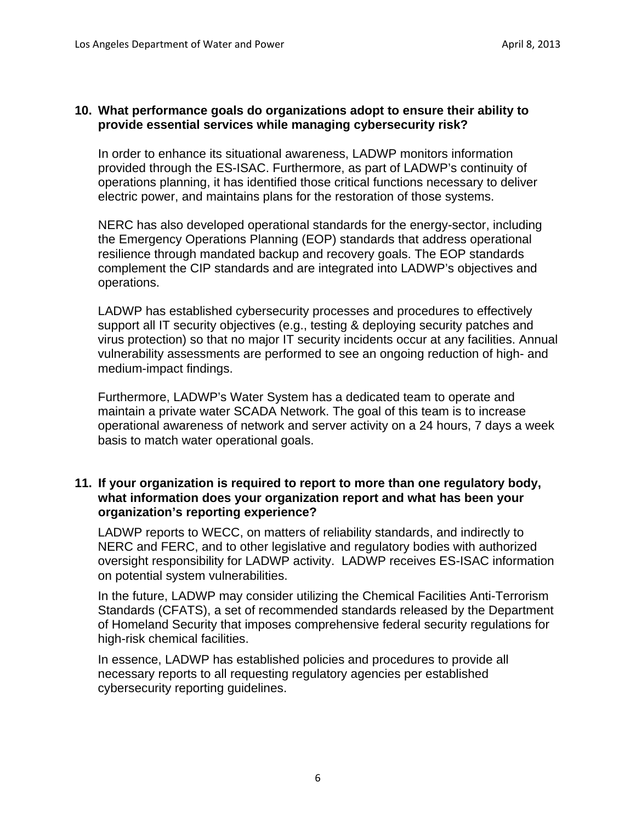#### **10. What performance goals do organizations adopt to ensure their ability to provide essential services while managing cybersecurity risk?**

In order to enhance its situational awareness, LADWP monitors information provided through the ES-ISAC. Furthermore, as part of LADWP's continuity of operations planning, it has identified those critical functions necessary to deliver electric power, and maintains plans for the restoration of those systems.

operations. NERC has also developed operational standards for the energy-sector, including the Emergency Operations Planning (EOP) standards that address operational resilience through mandated backup and recovery goals. The EOP standards complement the CIP standards and are integrated into LADWP's objectives and

LADWP has established cybersecurity processes and procedures to effectively support all IT security objectives (e.g., testing & deploying security patches and virus protection) so that no major IT security incidents occur at any facilities. Annual vulnerability assessments are performed to see an ongoing reduction of high- and medium-impact findings.

Furthermore, LADWP's Water System has a dedicated team to operate and maintain a private water SCADA Network. The goal of this team is to increase operational awareness of network and server activity on a 24 hours, 7 days a week basis to match water operational goals.

#### **11. If your organization is required to report to more than one regulatory body, what information does your organization report and what has been your organization's reporting experience?**

LADWP reports to WECC, on matters of reliability standards, and indirectly to NERC and FERC, and to other legislative and regulatory bodies with authorized oversight responsibility for LADWP activity. LADWP receives ES-ISAC information on potential system vulnerabilities.

high-risk chemical facilities. In the future, LADWP may consider utilizing the Chemical Facilities Anti-Terrorism Standards (CFATS), a set of recommended standards released by the Department of Homeland Security that imposes comprehensive federal security regulations for

In essence, LADWP has established policies and procedures to provide all necessary reports to all requesting regulatory agencies per established cybersecurity reporting guidelines.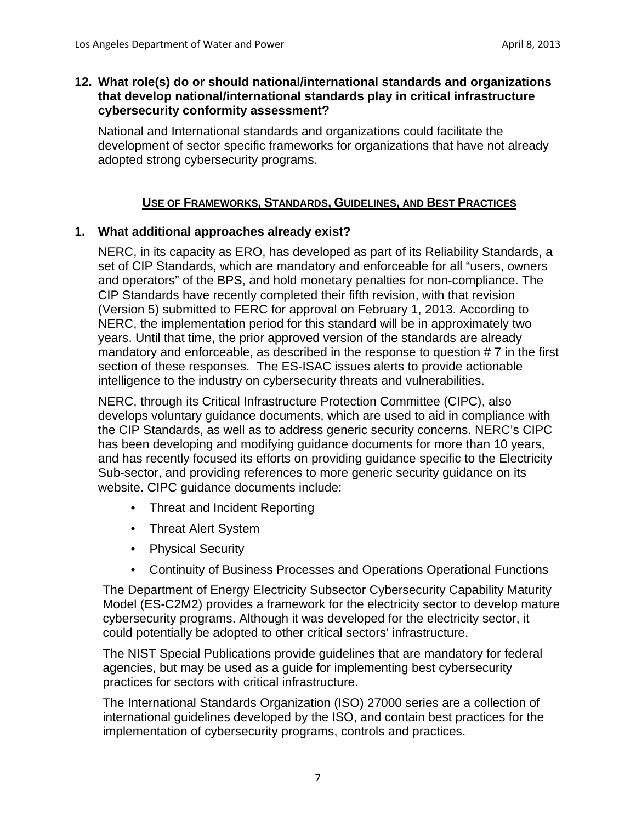#### **12. What role(s) do or should national/international standards and organizations that develop national/international standards play in critical infrastructure cybersecurity conformity assessment?**

National and International standards and organizations could facilitate the development of sector specific frameworks for organizations that have not already adopted strong cybersecurity programs.

#### **USE OF FRAMEWORKS, STANDARDS, GUIDELINES, AND BEST PRACTICES**

#### **1. What additional approaches already exist?**

NERC, in its capacity as ERO, has developed as part of its Reliability Standards, a set of CIP Standards, which are mandatory and enforceable for all "users, owners and operators" of the BPS, and hold monetary penalties for non-compliance. The CIP Standards have recently completed their fifth revision, with that revision (Version 5) submitted to FERC for approval on February 1, 2013. According to NERC, the implementation period for this standard will be in approximately two years. Until that time, the prior approved version of the standards are already mandatory and enforceable, as described in the response to question # 7 in the first section of these responses. The ES-ISAC issues alerts to provide actionable intelligence to the industry on cybersecurity threats and vulnerabilities.

NERC, through its Critical Infrastructure Protection Committee (CIPC), also develops voluntary guidance documents, which are used to aid in compliance with the CIP Standards, as well as to address generic security concerns. NERC's CIPC has been developing and modifying guidance documents for more than 10 years, and has recently focused its efforts on providing guidance specific to the Electricity Sub-sector, and providing references to more generic security guidance on its website. CIPC guidance documents include:

- Threat and Incident Reporting
- Threat Alert System
- Physical Security
- Continuity of Business Processes and Operations Operational Functions

The Department of Energy Electricity Subsector Cybersecurity Capability Maturity Model (ES-C2M2) provides a framework for the electricity sector to develop mature cybersecurity programs. Although it was developed for the electricity sector, it could potentially be adopted to other critical sectors' infrastructure.

The NIST Special Publications provide guidelines that are mandatory for federal agencies, but may be used as a guide for implementing best cybersecurity practices for sectors with critical infrastructure.

The International Standards Organization (ISO) 27000 series are a collection of international guidelines developed by the ISO, and contain best practices for the implementation of cybersecurity programs, controls and practices.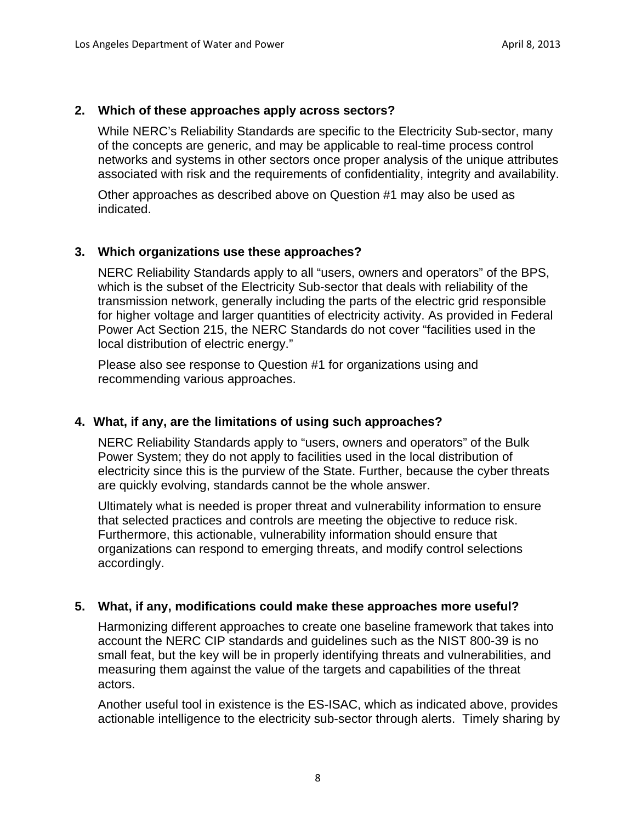#### **2. Which of these approaches apply across sectors?**

While NERC's Reliability Standards are specific to the Electricity Sub-sector, many of the concepts are generic, and may be applicable to real-time process control networks and systems in other sectors once proper analysis of the unique attributes associated with risk and the requirements of confidentiality, integrity and availability.

Other approaches as described above on Question #1 may also be used as indicated.

## **3. Which organizations use these approaches?**

NERC Reliability Standards apply to all "users, owners and operators" of the BPS, which is the subset of the Electricity Sub-sector that deals with reliability of the transmission network, generally including the parts of the electric grid responsible for higher voltage and larger quantities of electricity activity. As provided in Federal Power Act Section 215, the NERC Standards do not cover "facilities used in the local distribution of electric energy."

Please also see response to Question #1 for organizations using and recommending various approaches.

## **4. What, if any, are the limitations of using such approaches?**

NERC Reliability Standards apply to "users, owners and operators" of the Bulk Power System; they do not apply to facilities used in the local distribution of electricity since this is the purview of the State. Further, because the cyber threats are quickly evolving, standards cannot be the whole answer.

Ultimately what is needed is proper threat and vulnerability information to ensure that selected practices and controls are meeting the objective to reduce risk. Furthermore, this actionable, vulnerability information should ensure that organizations can respond to emerging threats, and modify control selections accordingly.

#### **5. What, if any, modifications could make these approaches more useful?**

Harmonizing different approaches to create one baseline framework that takes into account the NERC CIP standards and guidelines such as the NIST 800-39 is no small feat, but the key will be in properly identifying threats and vulnerabilities, and measuring them against the value of the targets and capabilities of the threat actors.

Another useful tool in existence is the ES-ISAC, which as indicated above, provides actionable intelligence to the electricity sub-sector through alerts. Timely sharing by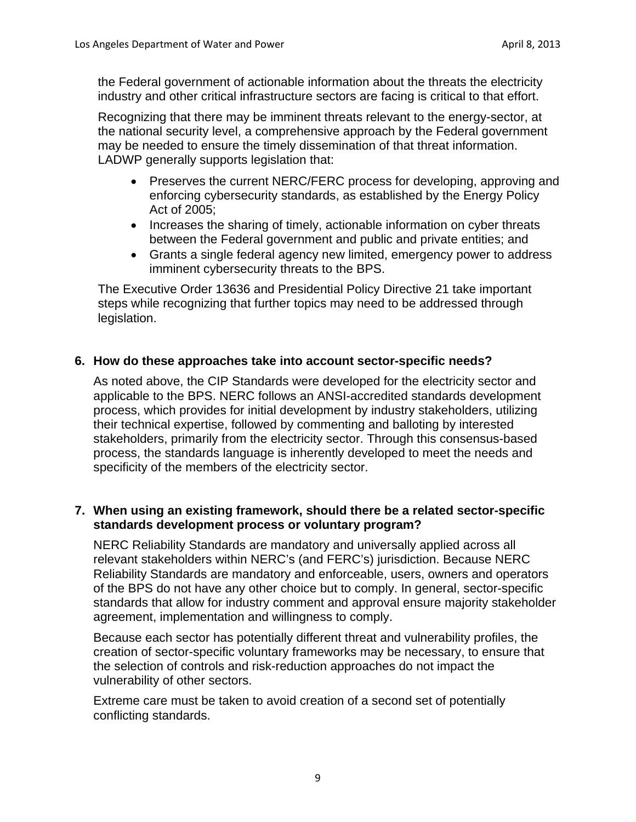the Federal government of actionable information about the threats the electricity industry and other critical infrastructure sectors are facing is critical to that effort.

Recognizing that there may be imminent threats relevant to the energy-sector, at the national security level, a comprehensive approach by the Federal government may be needed to ensure the timely dissemination of that threat information. LADWP generally supports legislation that:

- Preserves the current NERC/FERC process for developing, approving and enforcing cybersecurity standards, as established by the Energy Policy Act of 2005;
- Increases the sharing of timely, actionable information on cyber threats between the Federal government and public and private entities; and
- Grants a single federal agency new limited, emergency power to address imminent cybersecurity threats to the BPS.

The Executive Order 13636 and Presidential Policy Directive 21 take important steps while recognizing that further topics may need to be addressed through legislation.

## **6. How do these approaches take into account sector-specific needs?**

As noted above, the CIP Standards were developed for the electricity sector and applicable to the BPS. NERC follows an ANSI-accredited standards development process, which provides for initial development by industry stakeholders, utilizing their technical expertise, followed by commenting and balloting by interested stakeholders, primarily from the electricity sector. Through this consensus-based process, the standards language is inherently developed to meet the needs and specificity of the members of the electricity sector.

## **7. When using an existing framework, should there be a related sector-specific standards development process or voluntary program?**

NERC Reliability Standards are mandatory and universally applied across all relevant stakeholders within NERC's (and FERC's) jurisdiction. Because NERC Reliability Standards are mandatory and enforceable, users, owners and operators of the BPS do not have any other choice but to comply. In general, sector-specific standards that allow for industry comment and approval ensure majority stakeholder agreement, implementation and willingness to comply.

Because each sector has potentially different threat and vulnerability profiles, the creation of sector-specific voluntary frameworks may be necessary, to ensure that the selection of controls and risk-reduction approaches do not impact the vulnerability of other sectors.

Extreme care must be taken to avoid creation of a second set of potentially conflicting standards.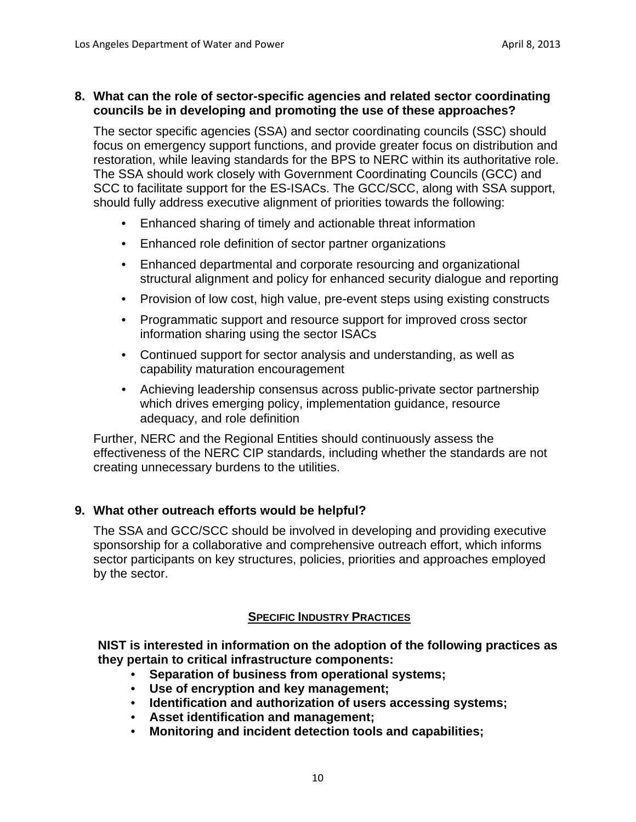## **8. What can the role of sector-specific agencies and related sector coordinating councils be in developing and promoting the use of these approaches?**

The sector specific agencies (SSA) and sector coordinating councils (SSC) should focus on emergency support functions, and provide greater focus on distribution and restoration, while leaving standards for the BPS to NERC within its authoritative role. The SSA should work closely with Government Coordinating Councils (GCC) and SCC to facilitate support for the ES-ISACs. The GCC/SCC, along with SSA support, should fully address executive alignment of priorities towards the following:

- Enhanced sharing of timely and actionable threat information
- Enhanced role definition of sector partner organizations
- Enhanced departmental and corporate resourcing and organizational structural alignment and policy for enhanced security dialogue and reporting
- Provision of low cost, high value, pre-event steps using existing constructs
- Programmatic support and resource support for improved cross sector information sharing using the sector ISACs
- Continued support for sector analysis and understanding, as well as capability maturation encouragement
- Achieving leadership consensus across public-private sector partnership which drives emerging policy, implementation guidance, resource adequacy, and role definition

Further, NERC and the Regional Entities should continuously assess the effectiveness of the NERC CIP standards, including whether the standards are not creating unnecessary burdens to the utilities.

## **9. What other outreach efforts would be helpful?**

The SSA and GCC/SCC should be involved in developing and providing executive sponsorship for a collaborative and comprehensive outreach effort, which informs sector participants on key structures, policies, priorities and approaches employed by the sector.

## **SPECIFIC INDUSTRY PRACTICES**

**NIST is interested in information on the adoption of the following practices as they pertain to critical infrastructure components:** 

- **Separation of business from operational systems;**
- **Use of encryption and key management;**
- **Identification and authorization of users accessing systems;**
- **Asset identification and management;**
- **Monitoring and incident detection tools and capabilities;**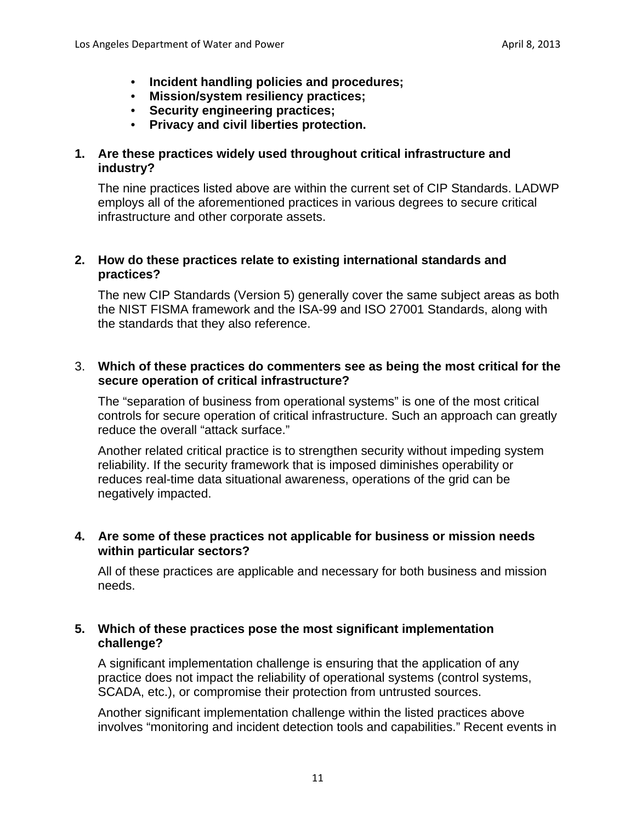- **Incident handling policies and procedures;**
- **Mission/system resiliency practices;**
- **Security engineering practices;**
- **Privacy and civil liberties protection.**

## **1. Are these practices widely used throughout critical infrastructure and industry?**

The nine practices listed above are within the current set of CIP Standards. LADWP employs all of the aforementioned practices in various degrees to secure critical infrastructure and other corporate assets.

## **2. How do these practices relate to existing international standards and practices?**

The new CIP Standards (Version 5) generally cover the same subject areas as both the NIST FISMA framework and the ISA-99 and ISO 27001 Standards, along with the standards that they also reference.

# **secure operation of critical infrastructure?** 3. **Which of these practices do commenters see as being the most critical for the**

The "separation of business from operational systems" is one of the most critical controls for secure operation of critical infrastructure. Such an approach can greatly reduce the overall "attack surface."

Another related critical practice is to strengthen security without impeding system reliability. If the security framework that is imposed diminishes operability or reduces real-time data situational awareness, operations of the grid can be negatively impacted.

## **4. Are some of these practices not applicable for business or mission needs within particular sectors?**

All of these practices are applicable and necessary for both business and mission needs.

# **5. Which of these practices pose the most significant implementation challenge?**

A significant implementation challenge is ensuring that the application of any practice does not impact the reliability of operational systems (control systems, SCADA, etc.), or compromise their protection from untrusted sources.

Another significant implementation challenge within the listed practices above involves "monitoring and incident detection tools and capabilities." Recent events in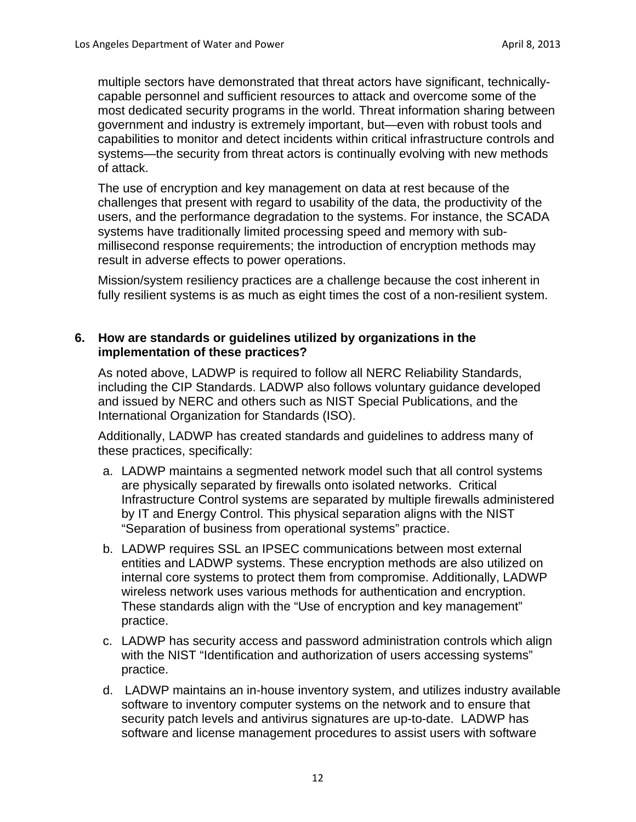multiple sectors have demonstrated that threat actors have significant, technicallycapable personnel and sufficient resources to attack and overcome some of the most dedicated security programs in the world. Threat information sharing between government and industry is extremely important, but—even with robust tools and capabilities to monitor and detect incidents within critical infrastructure controls and systems—the security from threat actors is continually evolving with new methods of attack.

The use of encryption and key management on data at rest because of the challenges that present with regard to usability of the data, the productivity of the users, and the performance degradation to the systems. For instance, the SCADA systems have traditionally limited processing speed and memory with submillisecond response requirements; the introduction of encryption methods may result in adverse effects to power operations.

Mission/system resiliency practices are a challenge because the cost inherent in fully resilient systems is as much as eight times the cost of a non-resilient system.

#### **6. How are standards or guidelines utilized by organizations in the implementation of these practices?**

As noted above, LADWP is required to follow all NERC Reliability Standards, including the CIP Standards. LADWP also follows voluntary guidance developed and issued by NERC and others such as NIST Special Publications, and the International Organization for Standards (ISO).

Additionally, LADWP has created standards and guidelines to address many of these practices, specifically:

- a. LADWP maintains a segmented network model such that all control systems are physically separated by firewalls onto isolated networks. Critical Infrastructure Control systems are separated by multiple firewalls administered by IT and Energy Control. This physical separation aligns with the NIST "Separation of business from operational systems" practice.
- b. LADWP requires SSL an IPSEC communications between most external entities and LADWP systems. These encryption methods are also utilized on internal core systems to protect them from compromise. Additionally, LADWP wireless network uses various methods for authentication and encryption. These standards align with the "Use of encryption and key management" practice.
- c. LADWP has security access and password administration controls which align with the NIST "Identification and authorization of users accessing systems" practice.
- d. LADWP maintains an in-house inventory system, and utilizes industry available software to inventory computer systems on the network and to ensure that security patch levels and antivirus signatures are up-to-date. LADWP has software and license management procedures to assist users with software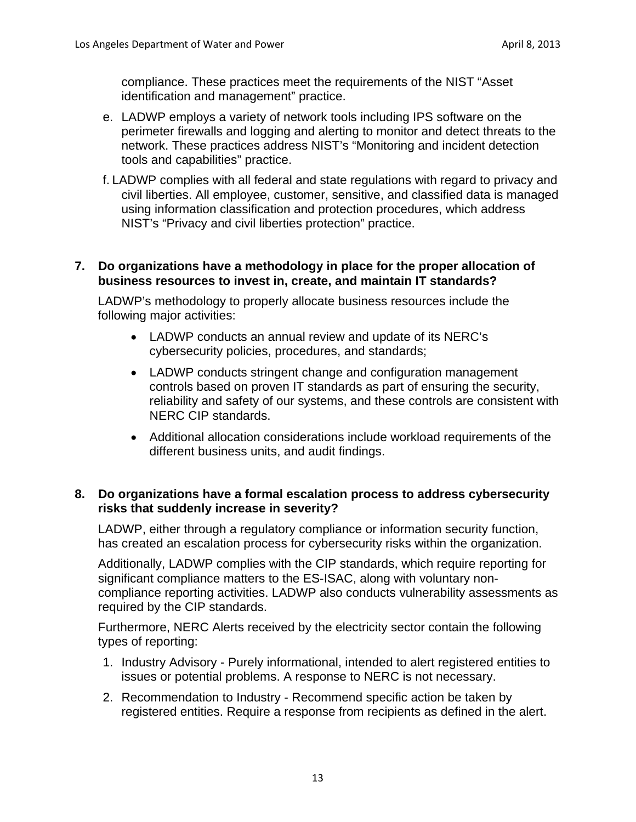compliance. These practices meet the requirements of the NIST "Asset identification and management" practice.

- e. LADWP employs a variety of network tools including IPS software on the perimeter firewalls and logging and alerting to monitor and detect threats to the network. These practices address NIST's "Monitoring and incident detection tools and capabilities" practice.
- f. LADWP complies with all federal and state regulations with regard to privacy and civil liberties. All employee, customer, sensitive, and classified data is managed using information classification and protection procedures, which address NIST's "Privacy and civil liberties protection" practice.

#### **7. Do organizations have a methodology in place for the proper allocation of business resources to invest in, create, and maintain IT standards?**

LADWP's methodology to properly allocate business resources include the following major activities:

- LADWP conducts an annual review and update of its NERC's cybersecurity policies, procedures, and standards;
- LADWP conducts stringent change and configuration management controls based on proven IT standards as part of ensuring the security, reliability and safety of our systems, and these controls are consistent with NERC CIP standards.
- Additional allocation considerations include workload requirements of the different business units, and audit findings.

## **risks that suddenly increase in severity? 8. Do organizations have a formal escalation process to address cybersecurity**

LADWP, either through a regulatory compliance or information security function, has created an escalation process for cybersecurity risks within the organization.

Additionally, LADWP complies with the CIP standards, which require reporting for significant compliance matters to the ES-ISAC, along with voluntary noncompliance reporting activities. LADWP also conducts vulnerability assessments as required by the CIP standards.

Furthermore, NERC Alerts received by the electricity sector contain the following types of reporting:

- 1. Industry Advisory Purely informational, intended to alert registered entities to issues or potential problems. A response to NERC is not necessary.
- 2. Recommendation to Industry Recommend specific action be taken by registered entities. Require a response from recipients as defined in the alert.